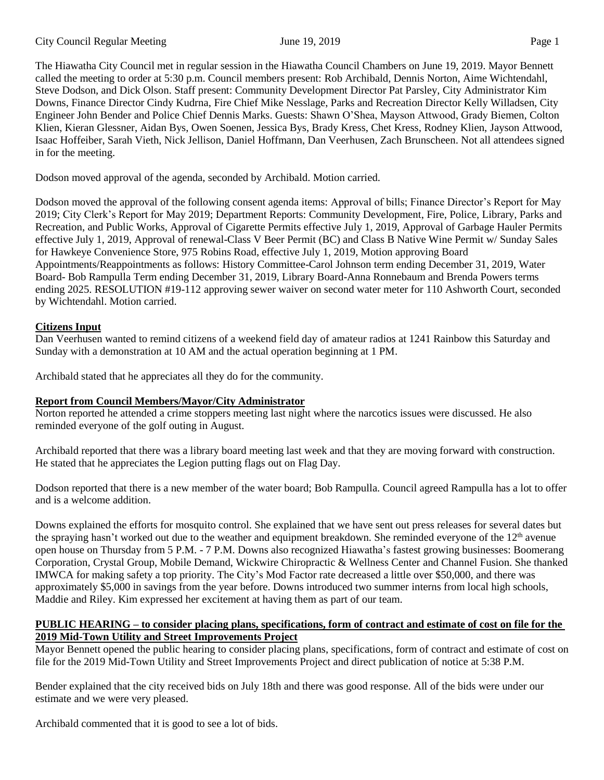The Hiawatha City Council met in regular session in the Hiawatha Council Chambers on June 19, 2019. Mayor Bennett called the meeting to order at 5:30 p.m. Council members present: Rob Archibald, Dennis Norton, Aime Wichtendahl, Steve Dodson, and Dick Olson. Staff present: Community Development Director Pat Parsley, City Administrator Kim Downs, Finance Director Cindy Kudrna, Fire Chief Mike Nesslage, Parks and Recreation Director Kelly Willadsen, City Engineer John Bender and Police Chief Dennis Marks. Guests: Shawn O'Shea, Mayson Attwood, Grady Biemen, Colton Klien, Kieran Glessner, Aidan Bys, Owen Soenen, Jessica Bys, Brady Kress, Chet Kress, Rodney Klien, Jayson Attwood, Isaac Hoffeiber, Sarah Vieth, Nick Jellison, Daniel Hoffmann, Dan Veerhusen, Zach Brunscheen. Not all attendees signed in for the meeting.

Dodson moved approval of the agenda, seconded by Archibald. Motion carried.

Dodson moved the approval of the following consent agenda items: Approval of bills; Finance Director's Report for May 2019; City Clerk's Report for May 2019; Department Reports: Community Development, Fire, Police, Library, Parks and Recreation, and Public Works, Approval of Cigarette Permits effective July 1, 2019, Approval of Garbage Hauler Permits effective July 1, 2019, Approval of renewal-Class V Beer Permit (BC) and Class B Native Wine Permit w/ Sunday Sales for Hawkeye Convenience Store, 975 Robins Road, effective July 1, 2019, Motion approving Board Appointments/Reappointments as follows: History Committee-Carol Johnson term ending December 31, 2019, Water Board- Bob Rampulla Term ending December 31, 2019, Library Board-Anna Ronnebaum and Brenda Powers terms ending 2025. RESOLUTION #19-112 approving sewer waiver on second water meter for 110 Ashworth Court, seconded by Wichtendahl. Motion carried.

## **Citizens Input**

Dan Veerhusen wanted to remind citizens of a weekend field day of amateur radios at 1241 Rainbow this Saturday and Sunday with a demonstration at 10 AM and the actual operation beginning at 1 PM.

Archibald stated that he appreciates all they do for the community.

# **Report from Council Members/Mayor/City Administrator**

Norton reported he attended a crime stoppers meeting last night where the narcotics issues were discussed. He also reminded everyone of the golf outing in August.

Archibald reported that there was a library board meeting last week and that they are moving forward with construction. He stated that he appreciates the Legion putting flags out on Flag Day.

Dodson reported that there is a new member of the water board; Bob Rampulla. Council agreed Rampulla has a lot to offer and is a welcome addition.

Downs explained the efforts for mosquito control. She explained that we have sent out press releases for several dates but the spraying hasn't worked out due to the weather and equipment breakdown. She reminded everyone of the  $12<sup>th</sup>$  avenue open house on Thursday from 5 P.M. - 7 P.M. Downs also recognized Hiawatha's fastest growing businesses: Boomerang Corporation, Crystal Group, Mobile Demand, Wickwire Chiropractic & Wellness Center and Channel Fusion. She thanked IMWCA for making safety a top priority. The City's Mod Factor rate decreased a little over \$50,000, and there was approximately \$5,000 in savings from the year before. Downs introduced two summer interns from local high schools, Maddie and Riley. Kim expressed her excitement at having them as part of our team.

## **PUBLIC HEARING – to consider placing plans, specifications, form of contract and estimate of cost on file for the 2019 Mid-Town Utility and Street Improvements Project**

Mayor Bennett opened the public hearing to consider placing plans, specifications, form of contract and estimate of cost on file for the 2019 Mid-Town Utility and Street Improvements Project and direct publication of notice at 5:38 P.M.

Bender explained that the city received bids on July 18th and there was good response. All of the bids were under our estimate and we were very pleased.

Archibald commented that it is good to see a lot of bids.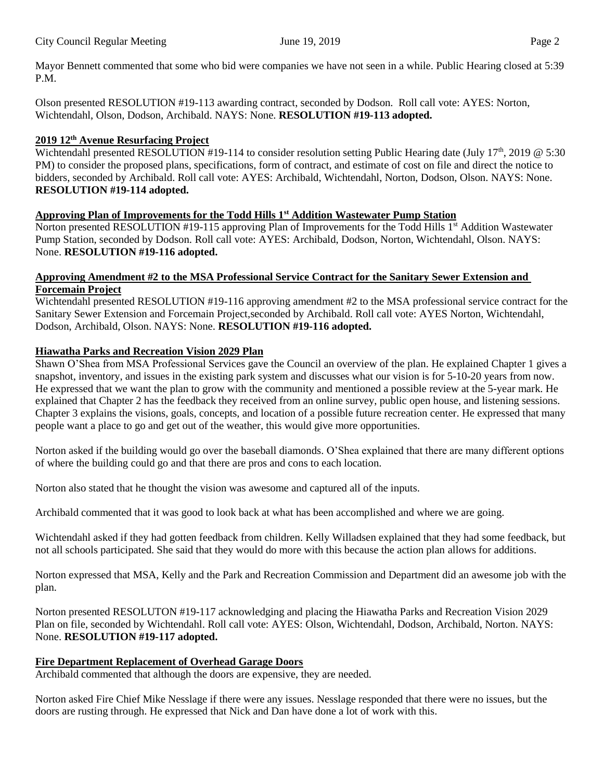Mayor Bennett commented that some who bid were companies we have not seen in a while. Public Hearing closed at 5:39 P.M.

Olson presented RESOLUTION #19-113 awarding contract, seconded by Dodson. Roll call vote: AYES: Norton, Wichtendahl, Olson, Dodson, Archibald. NAYS: None. **RESOLUTION #19-113 adopted.**

#### **2019 12th Avenue Resurfacing Project**

Wichtendahl presented RESOLUTION #19-114 to consider resolution setting Public Hearing date (July 17<sup>th</sup>, 2019 @ 5:30) PM) to consider the proposed plans, specifications, form of contract, and estimate of cost on file and direct the notice to bidders, seconded by Archibald. Roll call vote: AYES: Archibald, Wichtendahl, Norton, Dodson, Olson. NAYS: None. **RESOLUTION #19-114 adopted.** 

#### **Approving Plan of Improvements for the Todd Hills 1st Addition Wastewater Pump Station**

Norton presented RESOLUTION #19-115 approving Plan of Improvements for the Todd Hills 1<sup>st</sup> Addition Wastewater Pump Station, seconded by Dodson. Roll call vote: AYES: Archibald, Dodson, Norton, Wichtendahl, Olson. NAYS: None. **RESOLUTION #19-116 adopted.** 

#### **Approving Amendment #2 to the MSA Professional Service Contract for the Sanitary Sewer Extension and Forcemain Project**

Wichtendahl presented RESOLUTION #19-116 approving amendment #2 to the MSA professional service contract for the Sanitary Sewer Extension and Forcemain Project,seconded by Archibald. Roll call vote: AYES Norton, Wichtendahl, Dodson, Archibald, Olson. NAYS: None. **RESOLUTION #19-116 adopted.** 

#### **Hiawatha Parks and Recreation Vision 2029 Plan**

Shawn O'Shea from MSA Professional Services gave the Council an overview of the plan. He explained Chapter 1 gives a snapshot, inventory, and issues in the existing park system and discusses what our vision is for 5-10-20 years from now. He expressed that we want the plan to grow with the community and mentioned a possible review at the 5-year mark. He explained that Chapter 2 has the feedback they received from an online survey, public open house, and listening sessions. Chapter 3 explains the visions, goals, concepts, and location of a possible future recreation center. He expressed that many people want a place to go and get out of the weather, this would give more opportunities.

Norton asked if the building would go over the baseball diamonds. O'Shea explained that there are many different options of where the building could go and that there are pros and cons to each location.

Norton also stated that he thought the vision was awesome and captured all of the inputs.

Archibald commented that it was good to look back at what has been accomplished and where we are going.

Wichtendahl asked if they had gotten feedback from children. Kelly Willadsen explained that they had some feedback, but not all schools participated. She said that they would do more with this because the action plan allows for additions.

Norton expressed that MSA, Kelly and the Park and Recreation Commission and Department did an awesome job with the plan.

Norton presented RESOLUTON #19-117 acknowledging and placing the Hiawatha Parks and Recreation Vision 2029 Plan on file, seconded by Wichtendahl. Roll call vote: AYES: Olson, Wichtendahl, Dodson, Archibald, Norton. NAYS: None. **RESOLUTION #19-117 adopted.**

## **Fire Department Replacement of Overhead Garage Doors**

Archibald commented that although the doors are expensive, they are needed.

Norton asked Fire Chief Mike Nesslage if there were any issues. Nesslage responded that there were no issues, but the doors are rusting through. He expressed that Nick and Dan have done a lot of work with this.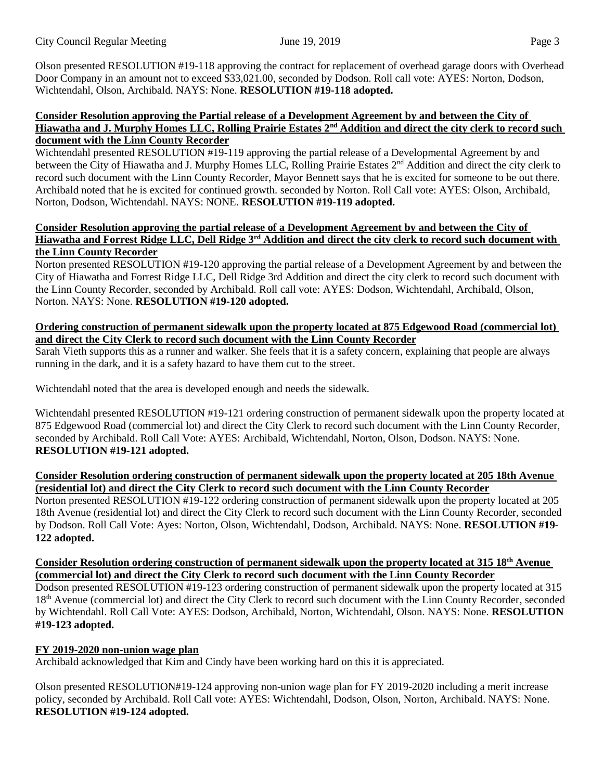Olson presented RESOLUTION #19-118 approving the contract for replacement of overhead garage doors with Overhead Door Company in an amount not to exceed \$33,021.00, seconded by Dodson. Roll call vote: AYES: Norton, Dodson, Wichtendahl, Olson, Archibald. NAYS: None. **RESOLUTION #19-118 adopted.** 

#### **Consider Resolution approving the Partial release of a Development Agreement by and between the City of Hiawatha and J. Murphy Homes LLC, Rolling Prairie Estates 2nd Addition and direct the city clerk to record such document with the Linn County Recorder**

Wichtendahl presented RESOLUTION #19-119 approving the partial release of a Developmental Agreement by and between the City of Hiawatha and J. Murphy Homes LLC, Rolling Prairie Estates  $2<sup>nd</sup>$  Addition and direct the city clerk to record such document with the Linn County Recorder, Mayor Bennett says that he is excited for someone to be out there. Archibald noted that he is excited for continued growth. seconded by Norton. Roll Call vote: AYES: Olson, Archibald, Norton, Dodson, Wichtendahl. NAYS: NONE. **RESOLUTION #19-119 adopted.**

#### **Consider Resolution approving the partial release of a Development Agreement by and between the City of Hiawatha and Forrest Ridge LLC, Dell Ridge 3rd Addition and direct the city clerk to record such document with the Linn County Recorder**

Norton presented RESOLUTION #19-120 approving the partial release of a Development Agreement by and between the City of Hiawatha and Forrest Ridge LLC, Dell Ridge 3rd Addition and direct the city clerk to record such document with the Linn County Recorder, seconded by Archibald. Roll call vote: AYES: Dodson, Wichtendahl, Archibald, Olson, Norton. NAYS: None. **RESOLUTION #19-120 adopted.**

## **Ordering construction of permanent sidewalk upon the property located at 875 Edgewood Road (commercial lot) and direct the City Clerk to record such document with the Linn County Recorder**

Sarah Vieth supports this as a runner and walker. She feels that it is a safety concern, explaining that people are always running in the dark, and it is a safety hazard to have them cut to the street.

Wichtendahl noted that the area is developed enough and needs the sidewalk.

Wichtendahl presented RESOLUTION #19-121 ordering construction of permanent sidewalk upon the property located at 875 Edgewood Road (commercial lot) and direct the City Clerk to record such document with the Linn County Recorder, seconded by Archibald. Roll Call Vote: AYES: Archibald, Wichtendahl, Norton, Olson, Dodson. NAYS: None. **RESOLUTION #19-121 adopted.**

## **Consider Resolution ordering construction of permanent sidewalk upon the property located at 205 18th Avenue (residential lot) and direct the City Clerk to record such document with the Linn County Recorder**

Norton presented RESOLUTION #19-122 ordering construction of permanent sidewalk upon the property located at 205 18th Avenue (residential lot) and direct the City Clerk to record such document with the Linn County Recorder, seconded by Dodson. Roll Call Vote: Ayes: Norton, Olson, Wichtendahl, Dodson, Archibald. NAYS: None. **RESOLUTION #19- 122 adopted.** 

## **Consider Resolution ordering construction of permanent sidewalk upon the property located at 315 18th Avenue (commercial lot) and direct the City Clerk to record such document with the Linn County Recorder**

Dodson presented RESOLUTION #19-123 ordering construction of permanent sidewalk upon the property located at 315 18<sup>th</sup> Avenue (commercial lot) and direct the City Clerk to record such document with the Linn County Recorder, seconded by Wichtendahl. Roll Call Vote: AYES: Dodson, Archibald, Norton, Wichtendahl, Olson. NAYS: None. **RESOLUTION #19-123 adopted.**

# **FY 2019-2020 non-union wage plan**

Archibald acknowledged that Kim and Cindy have been working hard on this it is appreciated.

Olson presented RESOLUTION#19-124 approving non-union wage plan for FY 2019-2020 including a merit increase policy, seconded by Archibald. Roll Call vote: AYES: Wichtendahl, Dodson, Olson, Norton, Archibald. NAYS: None. **RESOLUTION #19-124 adopted.**